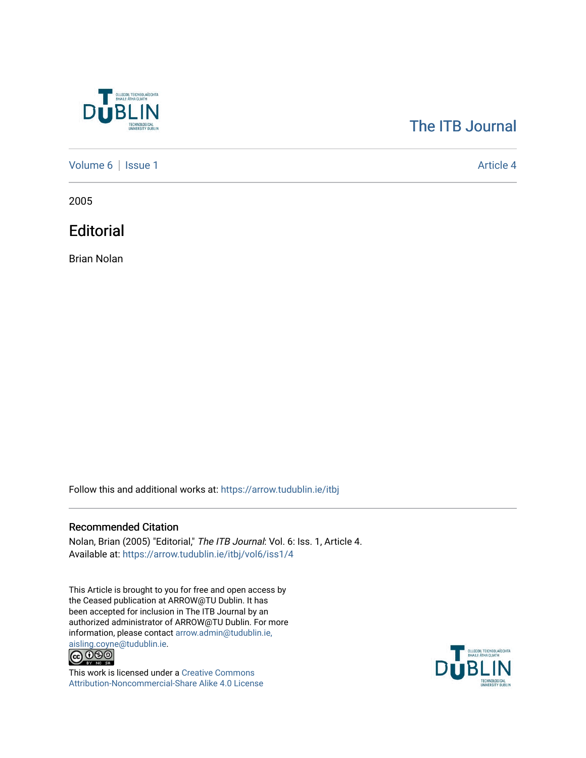

## [The ITB Journal](https://arrow.tudublin.ie/itbj)

[Volume 6](https://arrow.tudublin.ie/itbj/vol6) | [Issue 1](https://arrow.tudublin.ie/itbj/vol6/iss1) Article 4

2005

**Editorial** 

Brian Nolan

Follow this and additional works at: [https://arrow.tudublin.ie/itbj](https://arrow.tudublin.ie/itbj?utm_source=arrow.tudublin.ie%2Fitbj%2Fvol6%2Fiss1%2F4&utm_medium=PDF&utm_campaign=PDFCoverPages) 

## Recommended Citation

Nolan, Brian (2005) "Editorial," The ITB Journal: Vol. 6: Iss. 1, Article 4. Available at: [https://arrow.tudublin.ie/itbj/vol6/iss1/4](https://arrow.tudublin.ie/itbj/vol6/iss1/4?utm_source=arrow.tudublin.ie%2Fitbj%2Fvol6%2Fiss1%2F4&utm_medium=PDF&utm_campaign=PDFCoverPages) 

This Article is brought to you for free and open access by the Ceased publication at ARROW@TU Dublin. It has been accepted for inclusion in The ITB Journal by an authorized administrator of ARROW@TU Dublin. For more information, please contact [arrow.admin@tudublin.ie,](mailto:arrow.admin@tudublin.ie,%20aisling.coyne@tudublin.ie) 



This work is licensed under a [Creative Commons](http://creativecommons.org/licenses/by-nc-sa/4.0/) [Attribution-Noncommercial-Share Alike 4.0 License](http://creativecommons.org/licenses/by-nc-sa/4.0/)